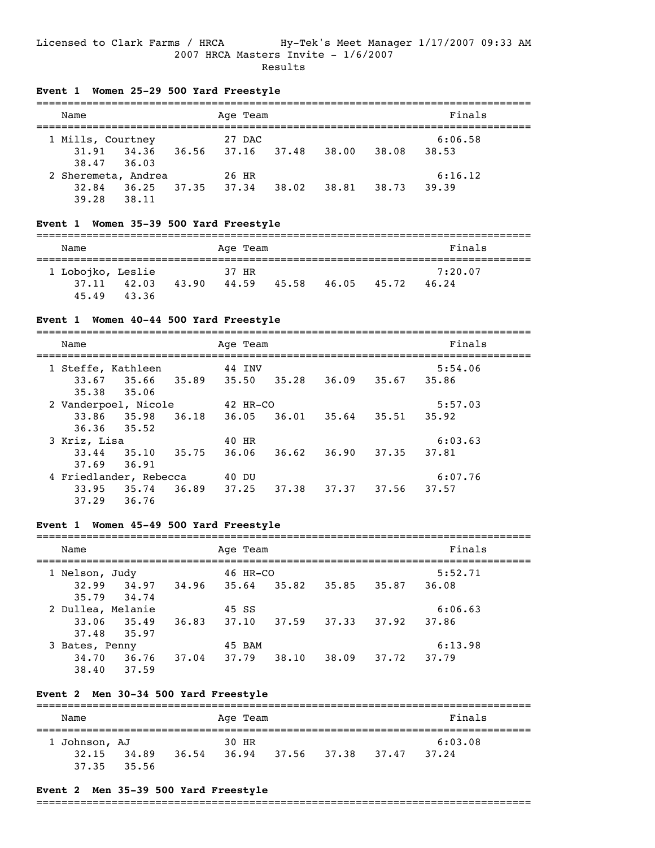#### Licensed to Clark Farms / HRCA Hy-Tek's Meet Manager 1/17/2007 09:33 AM 2007 HRCA Masters Invite - 1/6/2007 Results

 $=$ 

## **Event 1 Women 25-29 500 Yard Freestyle**

| Name                |       |       | Age Team |       |       |       | Finals  |
|---------------------|-------|-------|----------|-------|-------|-------|---------|
| 1 Mills, Courtney   |       |       | 27 DAC   |       |       |       | 6:06.58 |
| 31.91               | 34.36 | 36.56 | 37.16    | 37.48 | 38.00 | 38.08 | 38.53   |
| 38.47 36.03         |       |       |          |       |       |       |         |
| 2 Sheremeta, Andrea |       |       | 26 HR    |       |       |       | 6:16.12 |
| 32.84               | 36.25 | 37.35 | 37.34    | 38.02 | 38.81 | 38.73 | 39.39   |
| 39.28               | 38.11 |       |          |       |       |       |         |

## **Event 1 Women 35-39 500 Yard Freestyle**

| Name                                |                |       | Age Team       |       |       |       | Finals           |  |
|-------------------------------------|----------------|-------|----------------|-------|-------|-------|------------------|--|
| 1 Lobojko, Leslie<br>37.11<br>45.49 | 42.03<br>43.36 | 43.90 | 37 HR<br>44.59 | 45.58 | 46.05 | 45.72 | 7:20.07<br>46.24 |  |

## **Event 1 Women 40-44 500 Yard Freestyle**

| Name         |                        |       | Age Team |       |       |       | Finals  |
|--------------|------------------------|-------|----------|-------|-------|-------|---------|
|              | 1 Steffe, Kathleen     |       | 44 INV   |       |       |       | 5:54.06 |
|              | 33.67 35.66 35.89      |       | 35.50    | 35.28 | 36.09 | 35.67 | 35.86   |
| 35.38        | 35.06                  |       |          |       |       |       |         |
|              | 2 Vanderpoel, Nicole   |       | 42 HR-CO |       |       |       | 5:57.03 |
| 33.86        | 35.98 36.18            |       | 36.05    | 36.01 | 35.64 | 35.51 | 35.92   |
| 36.36        | 35.52                  |       |          |       |       |       |         |
| 3 Kriz, Lisa |                        |       | 40 HR    |       |       |       | 6:03.63 |
| 33.44        | 35.10                  | 35.75 | 36.06    | 36.62 | 36.90 | 37.35 | 37.81   |
| 37.69        | 36.91                  |       |          |       |       |       |         |
|              | 4 Friedlander, Rebecca |       | 40 DU    |       |       |       | 6:07.76 |
| 33.95        | 35.74                  | 36.89 | 37.25    | 37.38 | 37.37 | 37.56 | 37.57   |
| 37.29        | 36.76                  |       |          |       |       |       |         |

## **Event 1 Women 45-49 500 Yard Freestyle**

| Name              |       |       | Age Team   |       |       |       | Finals  |  |
|-------------------|-------|-------|------------|-------|-------|-------|---------|--|
| 1 Nelson, Judy    |       |       | $46$ HR-CO |       |       |       | 5:52.71 |  |
| 32.99             | 34.97 | 34.96 | 35.64      | 35.82 | 35.85 | 35.87 | 36.08   |  |
| 35.79             | 34.74 |       |            |       |       |       |         |  |
| 2 Dullea, Melanie |       |       | 45 SS      |       |       |       | 6:06.63 |  |
| 33.06             | 35.49 | 36.83 | 37.10      | 37.59 | 37.33 | 37.92 | 37.86   |  |
| 37.48             | 35.97 |       |            |       |       |       |         |  |
| 3 Bates, Penny    |       |       | 45 BAM     |       |       |       | 6:13.98 |  |
| 34.70             | 36.76 | 37.04 | 37.79      | 38.10 | 38.09 | 37.72 | 37.79   |  |

## **Event 2 Men 30-34 500 Yard Freestyle**

38.40 37.59

| Name          |       |       | Age Team |             |       | Finals  |  |
|---------------|-------|-------|----------|-------------|-------|---------|--|
| 1 Johnson, AJ |       |       | 30 HR    |             |       | 6:03.08 |  |
| 32.15         | 34.89 | 36.54 | 36.94    | 37.56 37.38 | 37.47 | 37.24   |  |
| 37.35         | 35.56 |       |          |             |       |         |  |

#### **Event 2 Men 35-39 500 Yard Freestyle**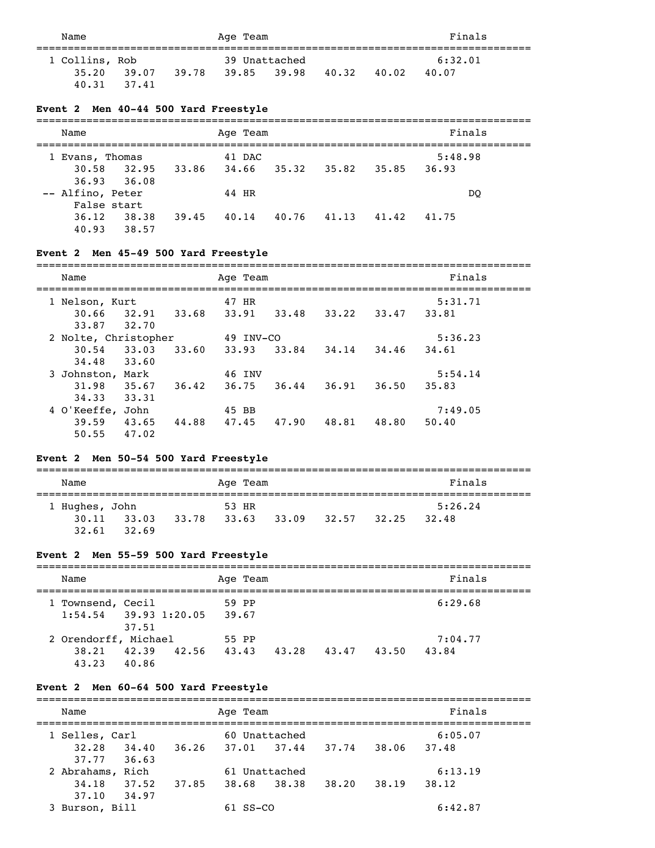Name **Age Team** Age Team Finals =============================================================================== 1 Collins, Rob 39 Unattached 6:32.01 35.20 39.07 39.78 39.85 39.98 40.32 40.02 40.07 40.31 37.41

## **Event 2 Men 40-44 500 Yard Freestyle**

| Name               | Age Team       |                | Finals         |
|--------------------|----------------|----------------|----------------|
| Evans, Thomas<br>1 | 41 DAC         |                | 5:48.98        |
| 30.58<br>32.95     | 34.66<br>33.86 | 35.32<br>35.82 | 35.85<br>36.93 |
| 36.93 36.08        |                |                |                |
| -- Alfino, Peter   | 44 HR          |                | DO             |
| False start        |                |                |                |
| 36.12<br>38.38     | 39.45<br>40.14 | 40.76<br>41.13 | 41.75<br>41.42 |
| 40.93<br>38.57     |                |                |                |

#### **Event 2 Men 45-49 500 Yard Freestyle**

| Name             |                      |       | Age Team  |       |       |       | Finals  |
|------------------|----------------------|-------|-----------|-------|-------|-------|---------|
| 1 Nelson, Kurt   |                      |       | 47 HR     |       |       |       | 5:31.71 |
| 30.66            | 32.91                | 33.68 | 33.91     | 33.48 | 33.22 | 33.47 | 33.81   |
| 33.87            | 32.70                |       |           |       |       |       |         |
|                  | 2 Nolte, Christopher |       | 49 INV-CO |       |       |       | 5:36.23 |
| 30.54            | 33.03                | 33.60 | 33.93     | 33.84 | 34.14 | 34,46 | 34.61   |
| 34.48            | 33.60                |       |           |       |       |       |         |
| 3 Johnston, Mark |                      |       | 46 INV    |       |       |       | 5:54.14 |
| 31.98            | 35.67                | 36.42 | 36.75     | 36.44 | 36.91 | 36.50 | 35.83   |
| 34.33            | 33.31                |       |           |       |       |       |         |
| 4 O'Keeffe, John |                      |       | 45 BB     |       |       |       | 7:49.05 |
| 39.59            | 43.65                | 44.88 | 47.45     | 47.90 | 48.81 | 48.80 | 50.40   |
| 50.55            | 47.02                |       |           |       |       |       |         |

## **Event 2 Men 50-54 500 Yard Freestyle**

| Name           |                 |       | Age Team |       |       |       | Finals  |  |
|----------------|-----------------|-------|----------|-------|-------|-------|---------|--|
| 1 Hughes, John |                 |       | 53 HR    |       |       |       | 5:26.24 |  |
|                | $30.11$ $33.03$ | 33.78 | 33.63    | 33.09 | 32.57 | 32.25 | 32.48   |  |
| 32.61          | 32.69           |       |          |       |       |       |         |  |

## **Event 2 Men 55-59 500 Yard Freestyle**

| Name                    |       |       |       | Age Team |       |       |       | Finals  |  |
|-------------------------|-------|-------|-------|----------|-------|-------|-------|---------|--|
| 1 Townsend, Cecil       |       |       |       | 59 PP    |       |       |       | 6:29.68 |  |
| $1:54.54$ 39.93 1:20.05 | 37.51 |       | 39.67 |          |       |       |       |         |  |
| 2 Orendorff, Michael    |       |       | 55 PP |          |       |       |       | 7:04.77 |  |
| 38.21                   | 42.39 | 42.56 | 43.43 |          | 43.28 | 43.47 | 43.50 | 43.84   |  |
| 43.23                   | 40.86 |       |       |          |       |       |       |         |  |

## **Event 2 Men 60-64 500 Yard Freestyle**

| Name             |                | Age Team      |       |       |         |  |  |  |  |
|------------------|----------------|---------------|-------|-------|---------|--|--|--|--|
| 1 Selles, Carl   |                | 60 Unattached |       |       | 6:05.07 |  |  |  |  |
| 32.28<br>34.40   | 36.26          | 37.01 37.44   | 37.74 | 38.06 | 37.48   |  |  |  |  |
| 37.77 36.63      |                |               |       |       |         |  |  |  |  |
| 2 Abrahams, Rich |                | 61 Unattached |       |       | 6:13.19 |  |  |  |  |
| 34.18<br>37.52   | 37.85<br>38.68 | 38.38         | 38.20 | 38.19 | 38.12   |  |  |  |  |
| 34.97<br>37.10   |                |               |       |       |         |  |  |  |  |
| 3 Burson, Bill   | SS-CO          |               |       |       | 6:42.87 |  |  |  |  |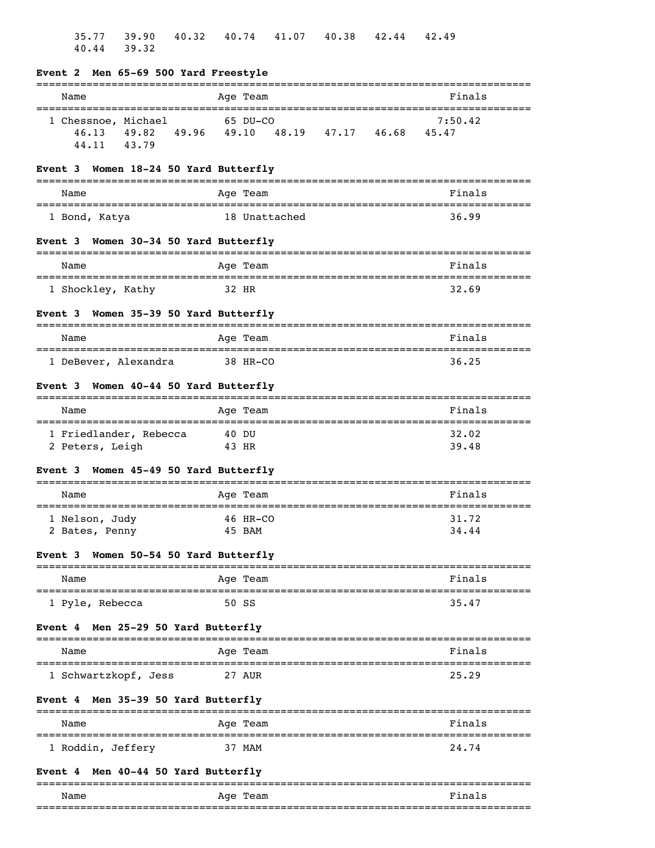|                | 35.77          | 39.90<br>40.44 39.32                      |                                                                        |                |                    |               | 40.32 40.74 41.07 40.38 42.44             | 42.49          |
|----------------|----------------|-------------------------------------------|------------------------------------------------------------------------|----------------|--------------------|---------------|-------------------------------------------|----------------|
| -------------- |                |                                           | Event 2 Men 65-69 500 Yard Freestyle<br>============================== |                |                    |               |                                           |                |
|                | Name           |                                           |                                                                        |                | Age Team           |               |                                           | Finals         |
|                | 46.13<br>44.11 | 1 Chessnoe, Michael<br>43.79              |                                                                        |                | 65 DU-CO           |               | 49.82 49.96 49.10 48.19 47.17 46.68 45.47 | 7:50.42        |
|                |                |                                           | Event 3 Women 18-24 50 Yard Butterfly                                  |                |                    |               |                                           |                |
|                | Name           |                                           |                                                                        |                | Age Team           |               |                                           | Finals         |
|                |                | 1 Bond, Katya                             |                                                                        |                |                    | 18 Unattached |                                           | 36.99          |
|                |                |                                           | Event 3 Women 30-34 50 Yard Butterfly                                  |                |                    |               |                                           |                |
|                | Name           |                                           | ====================================                                   |                | Age Team           |               |                                           | Finals         |
|                |                | 1 Shockley, Kathy                         |                                                                        | 32 HR          |                    |               |                                           | 32.69          |
| <b>Event 3</b> |                |                                           | Women 35-39 50 Yard Butterfly                                          |                |                    |               |                                           |                |
|                | Name           |                                           |                                                                        |                | Age Team           |               |                                           | Finals         |
|                |                | 1 DeBever, Alexandra                      | 38 HR-CO                                                               |                |                    |               |                                           | 36.25          |
| Event 3        |                |                                           | Women 40-44 50 Yard Butterfly                                          |                |                    |               |                                           |                |
|                | Name           |                                           |                                                                        |                | Age Team           |               |                                           | Finals         |
|                |                | 1 Friedlander, Rebecca<br>2 Peters, Leigh |                                                                        | 40 DU<br>43 HR |                    |               |                                           | 32.02<br>39.48 |
| Event 3        |                |                                           | Women 45-49 50 Yard Butterfly                                          |                |                    |               |                                           |                |
|                | Name           |                                           |                                                                        |                | Age Team           |               |                                           | Finals         |
|                |                | 1 Nelson, Judy<br>2 Bates, Penny          |                                                                        |                | 46 HR-CO<br>45 BAM |               |                                           | 31.72<br>34.44 |
| Event 3        |                |                                           | Women 50-54 50 Yard Butterfly<br>=============================         |                |                    |               |                                           |                |
|                | Name           | ---------------------                     |                                                                        |                | Age Team           |               |                                           | Finals         |
|                |                | 1 Pyle, Rebecca                           |                                                                        |                | 50 SS              |               |                                           | 35.47          |
| Event 4        |                |                                           | Men 25-29 50 Yard Butterfly                                            |                |                    |               |                                           | -------------- |
|                | Name           |                                           |                                                                        |                | Age Team           |               |                                           | Finals         |
|                |                | 1 Schwartzkopf, Jess                      |                                                                        |                | 27 AUR             |               |                                           | 25.29          |
| Event 4        |                |                                           | Men 35-39 50 Yard Butterfly                                            |                |                    |               |                                           |                |
|                | Name           |                                           |                                                                        |                | Age Team           |               |                                           | Finals         |
|                |                | 1 Roddin, Jeffery                         |                                                                        |                | 37 MAM             |               |                                           | 24.74          |
| <b>Event 4</b> |                |                                           | Men 40-44 50 Yard Butterfly                                            |                |                    |               |                                           |                |

| Name       | 1 A<br>-77 |      |
|------------|------------|------|
| $ -$<br>__ |            | ____ |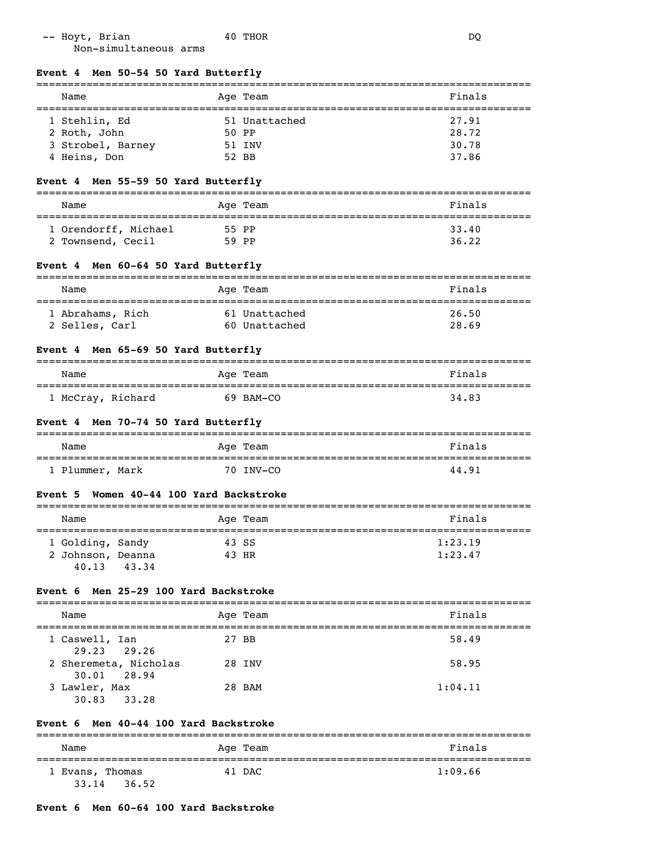| -- Hoyt, Brian        | 40 THOR | DC |
|-----------------------|---------|----|
| Non-simultaneous arms |         |    |

| Finals<br>Age Team<br>Name<br>1 Stehlin, Ed<br>27.91<br>51 Unattached<br>28.72<br>50 PP<br>2 Roth, John<br>30.78<br>3 Strobel, Barney<br>51 INV<br>37.86<br>4 Heins, Don<br>52 BB<br>Men 55-59 50 Yard Butterfly<br>Event 4<br>Finals<br>Age Team<br>Name<br>1 Orendorff, Michael<br>33.40<br>55 PP<br>36.22<br>2 Townsend, Cecil<br>59 PP<br>Event 4 Men 60-64 50 Yard Butterfly<br>Finals<br>Name<br>Age Team<br>26.50<br>1 Abrahams, Rich<br>61 Unattached<br>28.69<br>2 Selles, Carl<br>60 Unattached<br>Event 4 Men 65-69 50 Yard Butterfly<br>Finals<br>Name<br>Age Team<br>34.83<br>1 McCray, Richard<br>69 BAM-CO<br>Event 4 Men 70-74 50 Yard Butterfly<br>Finals<br>Name<br>Age Team<br>70 INV-CO<br>1 Plummer, Mark<br>44.91<br>Women 40-44 100 Yard Backstroke<br><b>Event 5</b><br>Finals<br>Age Team<br>Name<br>---------<br>1 Golding, Sandy<br>1:23.19<br>43 SS<br>1:23.47<br>2 Johnson, Deanna<br>43 HR<br>43.34<br>40.13<br>Men 25-29 100 Yard Backstroke<br>Event 6<br>Finals<br>Age Team<br>Name<br>1 Caswell, Ian<br>27 BB<br>58.49<br>29.23<br>29.26<br>2 Sheremeta, Nicholas<br>58.95<br>28 INV<br>28.94<br>30.01<br>3 Lawler, Max<br>1:04.11<br>28 BAM<br>30.83<br>33.28<br>Event 6 Men 40-44 100 Yard Backstroke<br>Finals<br>Name<br>Age Team | Event 4 Men 50-54 50 Yard Butterfly |  |
|-------------------------------------------------------------------------------------------------------------------------------------------------------------------------------------------------------------------------------------------------------------------------------------------------------------------------------------------------------------------------------------------------------------------------------------------------------------------------------------------------------------------------------------------------------------------------------------------------------------------------------------------------------------------------------------------------------------------------------------------------------------------------------------------------------------------------------------------------------------------------------------------------------------------------------------------------------------------------------------------------------------------------------------------------------------------------------------------------------------------------------------------------------------------------------------------------------------------------------------------------------------------------|-------------------------------------|--|
|                                                                                                                                                                                                                                                                                                                                                                                                                                                                                                                                                                                                                                                                                                                                                                                                                                                                                                                                                                                                                                                                                                                                                                                                                                                                         |                                     |  |
|                                                                                                                                                                                                                                                                                                                                                                                                                                                                                                                                                                                                                                                                                                                                                                                                                                                                                                                                                                                                                                                                                                                                                                                                                                                                         |                                     |  |
|                                                                                                                                                                                                                                                                                                                                                                                                                                                                                                                                                                                                                                                                                                                                                                                                                                                                                                                                                                                                                                                                                                                                                                                                                                                                         |                                     |  |
|                                                                                                                                                                                                                                                                                                                                                                                                                                                                                                                                                                                                                                                                                                                                                                                                                                                                                                                                                                                                                                                                                                                                                                                                                                                                         |                                     |  |
|                                                                                                                                                                                                                                                                                                                                                                                                                                                                                                                                                                                                                                                                                                                                                                                                                                                                                                                                                                                                                                                                                                                                                                                                                                                                         |                                     |  |
|                                                                                                                                                                                                                                                                                                                                                                                                                                                                                                                                                                                                                                                                                                                                                                                                                                                                                                                                                                                                                                                                                                                                                                                                                                                                         |                                     |  |
|                                                                                                                                                                                                                                                                                                                                                                                                                                                                                                                                                                                                                                                                                                                                                                                                                                                                                                                                                                                                                                                                                                                                                                                                                                                                         |                                     |  |
|                                                                                                                                                                                                                                                                                                                                                                                                                                                                                                                                                                                                                                                                                                                                                                                                                                                                                                                                                                                                                                                                                                                                                                                                                                                                         |                                     |  |
|                                                                                                                                                                                                                                                                                                                                                                                                                                                                                                                                                                                                                                                                                                                                                                                                                                                                                                                                                                                                                                                                                                                                                                                                                                                                         |                                     |  |
|                                                                                                                                                                                                                                                                                                                                                                                                                                                                                                                                                                                                                                                                                                                                                                                                                                                                                                                                                                                                                                                                                                                                                                                                                                                                         |                                     |  |
|                                                                                                                                                                                                                                                                                                                                                                                                                                                                                                                                                                                                                                                                                                                                                                                                                                                                                                                                                                                                                                                                                                                                                                                                                                                                         |                                     |  |
|                                                                                                                                                                                                                                                                                                                                                                                                                                                                                                                                                                                                                                                                                                                                                                                                                                                                                                                                                                                                                                                                                                                                                                                                                                                                         |                                     |  |
|                                                                                                                                                                                                                                                                                                                                                                                                                                                                                                                                                                                                                                                                                                                                                                                                                                                                                                                                                                                                                                                                                                                                                                                                                                                                         |                                     |  |
|                                                                                                                                                                                                                                                                                                                                                                                                                                                                                                                                                                                                                                                                                                                                                                                                                                                                                                                                                                                                                                                                                                                                                                                                                                                                         |                                     |  |
|                                                                                                                                                                                                                                                                                                                                                                                                                                                                                                                                                                                                                                                                                                                                                                                                                                                                                                                                                                                                                                                                                                                                                                                                                                                                         |                                     |  |
|                                                                                                                                                                                                                                                                                                                                                                                                                                                                                                                                                                                                                                                                                                                                                                                                                                                                                                                                                                                                                                                                                                                                                                                                                                                                         |                                     |  |
|                                                                                                                                                                                                                                                                                                                                                                                                                                                                                                                                                                                                                                                                                                                                                                                                                                                                                                                                                                                                                                                                                                                                                                                                                                                                         |                                     |  |
|                                                                                                                                                                                                                                                                                                                                                                                                                                                                                                                                                                                                                                                                                                                                                                                                                                                                                                                                                                                                                                                                                                                                                                                                                                                                         |                                     |  |
|                                                                                                                                                                                                                                                                                                                                                                                                                                                                                                                                                                                                                                                                                                                                                                                                                                                                                                                                                                                                                                                                                                                                                                                                                                                                         |                                     |  |
|                                                                                                                                                                                                                                                                                                                                                                                                                                                                                                                                                                                                                                                                                                                                                                                                                                                                                                                                                                                                                                                                                                                                                                                                                                                                         |                                     |  |
|                                                                                                                                                                                                                                                                                                                                                                                                                                                                                                                                                                                                                                                                                                                                                                                                                                                                                                                                                                                                                                                                                                                                                                                                                                                                         |                                     |  |
|                                                                                                                                                                                                                                                                                                                                                                                                                                                                                                                                                                                                                                                                                                                                                                                                                                                                                                                                                                                                                                                                                                                                                                                                                                                                         |                                     |  |
|                                                                                                                                                                                                                                                                                                                                                                                                                                                                                                                                                                                                                                                                                                                                                                                                                                                                                                                                                                                                                                                                                                                                                                                                                                                                         |                                     |  |
|                                                                                                                                                                                                                                                                                                                                                                                                                                                                                                                                                                                                                                                                                                                                                                                                                                                                                                                                                                                                                                                                                                                                                                                                                                                                         |                                     |  |
|                                                                                                                                                                                                                                                                                                                                                                                                                                                                                                                                                                                                                                                                                                                                                                                                                                                                                                                                                                                                                                                                                                                                                                                                                                                                         |                                     |  |
|                                                                                                                                                                                                                                                                                                                                                                                                                                                                                                                                                                                                                                                                                                                                                                                                                                                                                                                                                                                                                                                                                                                                                                                                                                                                         |                                     |  |
|                                                                                                                                                                                                                                                                                                                                                                                                                                                                                                                                                                                                                                                                                                                                                                                                                                                                                                                                                                                                                                                                                                                                                                                                                                                                         |                                     |  |
|                                                                                                                                                                                                                                                                                                                                                                                                                                                                                                                                                                                                                                                                                                                                                                                                                                                                                                                                                                                                                                                                                                                                                                                                                                                                         |                                     |  |
|                                                                                                                                                                                                                                                                                                                                                                                                                                                                                                                                                                                                                                                                                                                                                                                                                                                                                                                                                                                                                                                                                                                                                                                                                                                                         |                                     |  |
|                                                                                                                                                                                                                                                                                                                                                                                                                                                                                                                                                                                                                                                                                                                                                                                                                                                                                                                                                                                                                                                                                                                                                                                                                                                                         |                                     |  |
|                                                                                                                                                                                                                                                                                                                                                                                                                                                                                                                                                                                                                                                                                                                                                                                                                                                                                                                                                                                                                                                                                                                                                                                                                                                                         |                                     |  |
|                                                                                                                                                                                                                                                                                                                                                                                                                                                                                                                                                                                                                                                                                                                                                                                                                                                                                                                                                                                                                                                                                                                                                                                                                                                                         |                                     |  |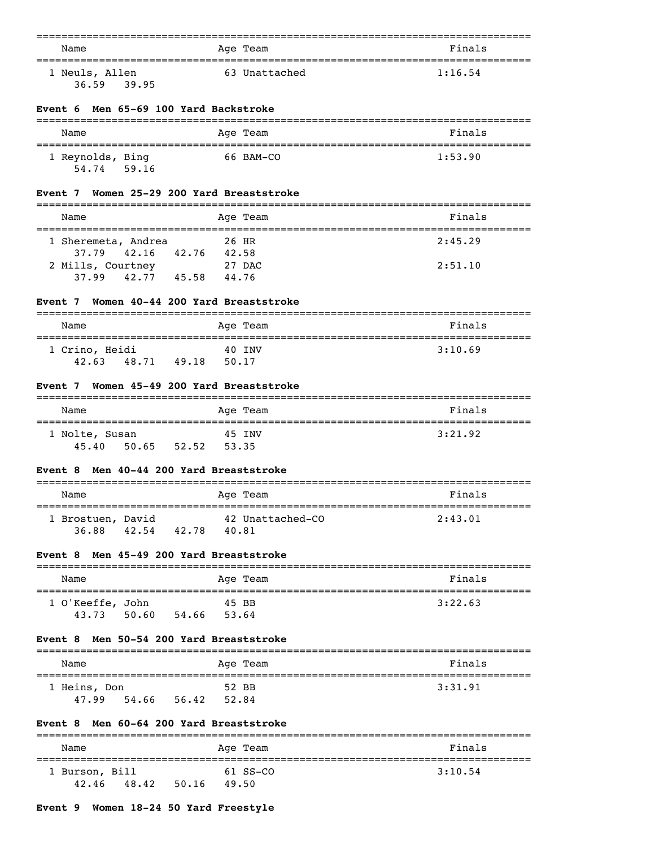| Name           | Age Team      | Finals  |
|----------------|---------------|---------|
| 1 Neuls, Allen | 63 Unattached | 1:16.54 |
| 36.59<br>39.95 |               |         |

#### **Event 6 Men 65-69 100 Yard Backstroke**

| Name                      |       | Age Team  | Finals  |
|---------------------------|-------|-----------|---------|
| 1 Reynolds, Bing<br>54.74 | 59.16 | 66 BAM-CO | 1:53.90 |

#### **Event 7 Women 25-29 200 Yard Breaststroke**

| Name                |       |       | Age Team | Finals  |
|---------------------|-------|-------|----------|---------|
|                     |       |       |          |         |
| 1 Sheremeta, Andrea |       |       | 26 HR    | 2:45.29 |
| 37.79 42.16         | 42.76 | 42.58 |          |         |
| 2 Mills, Courtney   |       |       | 27 DAC   | 2:51.10 |
| 42.77<br>37.99      | 45.58 | 44.76 |          |         |

#### **Event 7 Women 40-44 200 Yard Breaststroke**

| Name                    |       |       | Age Team        | Finals  |
|-------------------------|-------|-------|-----------------|---------|
| 1 Crino, Heidi<br>42.63 | 48.71 | 49.18 | 40 INV<br>50.17 | 3:10.69 |

#### **Event 7 Women 45-49 200 Yard Breaststroke**

| Name           |       |       |       | Age Team | Finals  |
|----------------|-------|-------|-------|----------|---------|
| 1 Nolte, Susan |       |       |       | 45 INV   | 3:21.92 |
| 45.40          | 50.65 | 52.52 | 53.35 |          |         |

#### **Event 8 Men 40-44 200 Yard Breaststroke**

| Name                       |       |       | Age Team |                  | Finals  |
|----------------------------|-------|-------|----------|------------------|---------|
| 1 Brostuen, David<br>36.88 | 42.54 | 42.78 | 40.81    | 42 Unattached-CO | 2:43.01 |

#### **Event 8 Men 45-49 200 Yard Breaststroke**

| Name             |       |       |       | Age Team | Finals  |
|------------------|-------|-------|-------|----------|---------|
| 1 O'Keeffe, John |       |       | 45 BB |          | 3:22.63 |
| 43.73            | 50.60 | 54.66 | 53.64 |          |         |

#### **Event 8 Men 50-54 200 Yard Breaststroke**

| Name         |       |       |       | Age Team | Finals  |
|--------------|-------|-------|-------|----------|---------|
| 1 Heins, Don |       |       | 52 BB |          | 3:31.91 |
| 47.99        | 54.66 | 56.42 | 52.84 |          |         |

#### **Event 8 Men 60-64 200 Yard Breaststroke**

| Name                    |       |       | Age Team          | Finals  |
|-------------------------|-------|-------|-------------------|---------|
| 1 Burson, Bill<br>42.46 | 48.42 | 50.16 | 61 SS-CO<br>49.50 | 3:10.54 |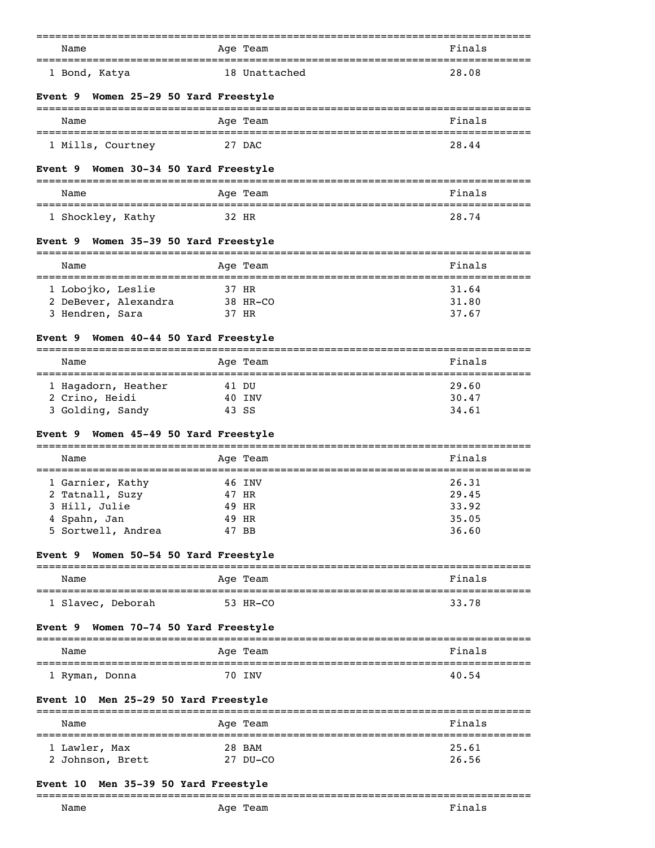| Name                                            | Age Team          | Finals                            |
|-------------------------------------------------|-------------------|-----------------------------------|
| 1 Bond, Katya                                   | 18 Unattached     | 28.08                             |
| Women 25-29 50 Yard Freestyle<br>Event 9        |                   |                                   |
| Name                                            | Age Team          | Finals                            |
| 1 Mills, Courtney                               | 27 DAC            | 28.44                             |
| Women 30-34 50 Yard Freestyle<br>Event 9        |                   |                                   |
| Name                                            | Age Team          | Finals                            |
| 1 Shockley, Kathy                               | 32 HR             | 28.74                             |
| Women 35-39 50 Yard Freestyle<br><b>Event 9</b> |                   |                                   |
| Name                                            | Age Team          | Finals                            |
|                                                 |                   |                                   |
| 1 Lobojko, Leslie<br>2 DeBever, Alexandra       | 37 HR<br>38 HR-CO | 31.64<br>31.80                    |
| 3 Hendren, Sara                                 | 37 HR             | 37.67                             |
|                                                 |                   |                                   |
| Women 40-44 50 Yard Freestyle<br><b>Event 9</b> |                   |                                   |
| Name                                            | Age Team          | Finals<br>======================= |
| 1 Hagadorn, Heather                             | 41 DU             | 29.60                             |
| 2 Crino, Heidi                                  | 40 INV            | 30.47                             |
| 3 Golding, Sandy                                | 43 SS             | 34.61                             |
|                                                 |                   |                                   |
| Women 45-49 50 Yard Freestyle<br><b>Event</b> 9 | -----------       |                                   |
| Name                                            | Age Team          | Finals                            |
| 1 Garnier, Kathy                                | 46 INV            | 26.31                             |
| 2 Tatnall, Suzy                                 | 47 HR             | 29.45                             |
| 3 Hill, Julie                                   | 49 HR             | 33.92                             |
| 4 Spahn, Jan                                    | 49 HR             | 35.05                             |
| 5 Sortwell, Andrea                              | 47 BB             | 36.60                             |
|                                                 |                   |                                   |
| Women 50-54 50 Yard Freestyle<br>Event 9        |                   |                                   |
| Name                                            | Age Team          | Finals                            |
| 1 Slavec, Deborah                               | 53 HR-CO          | 33.78                             |
| Women 70-74 50 Yard Freestyle<br>Event 9        |                   |                                   |
| Name                                            | Age Team          | Finals                            |
| 1 Ryman, Donna                                  | 70 INV            | 40.54                             |
| Men 25-29 50 Yard Freestyle<br>Event 10         |                   | ;====================             |
| Name                                            | Age Team          | Finals                            |
| 1 Lawler, Max                                   | 28 BAM            | 25.61                             |
| 2 Johnson, Brett                                | 27 DU-CO          | 26.56                             |
|                                                 |                   |                                   |
| <b>Event 10</b><br>Men 35-39 50 Yard Freestyle  |                   |                                   |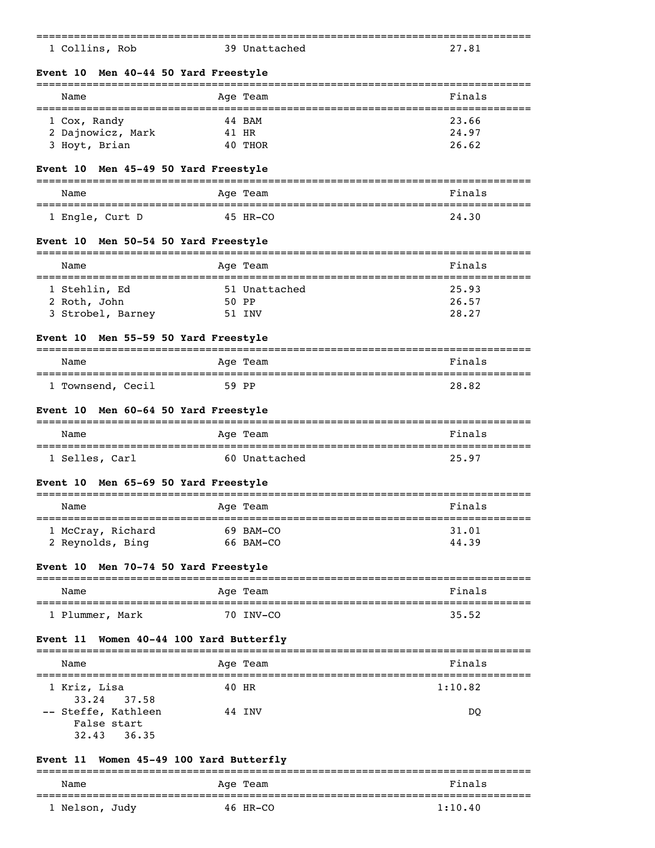| 1 Collins, Rob                                    | 39 Unattached                             | 27.81               |
|---------------------------------------------------|-------------------------------------------|---------------------|
| Men 40-44 50 Yard Freestyle<br>Event 10           |                                           |                     |
| Name                                              | Aqe Team                                  | Finals              |
| 1 Cox, Randy                                      | 44 BAM                                    | 23.66               |
| 2 Dajnowicz, Mark                                 | 41 HR                                     | 24.97               |
| 3 Hoyt, Brian                                     | 40 THOR                                   | 26.62               |
| Men 45-49 50 Yard Freestyle<br><b>Event</b> 10    |                                           |                     |
| Name                                              | Age Team                                  | Finals              |
| 1 Engle, Curt D                                   | 45 HR-CO                                  | 24.30               |
| Men 50-54 50 Yard Freestyle<br><b>Event 10</b>    |                                           |                     |
| Name                                              | Age Team                                  | Finals              |
|                                                   | 51 Unattached                             | 25.93               |
| 1 Stehlin, Ed<br>2 Roth, John                     | 50 PP                                     | 26.57               |
| 3 Strobel, Barney                                 | 51 INV                                    | 28.27               |
|                                                   |                                           |                     |
| Men 55-59 50 Yard Freestyle<br>Event 10           |                                           |                     |
| Name                                              | Age Team                                  | Finals              |
| 1 Townsend, Cecil                                 | 59 PP                                     | 28.82               |
| Men 60-64 50 Yard Freestyle<br>Event 10           |                                           |                     |
| Name                                              | Age Team                                  | Finals<br>--------- |
| 1 Selles, Carl                                    | 60 Unattached                             | 25.97               |
| Men 65-69 50 Yard Freestyle<br>Event 10           |                                           |                     |
| Name                                              | Age Team                                  | Finals              |
| 1 McCray, Richard                                 | 69 BAM-CO                                 | 31.01               |
| 2 Reynolds, Bing                                  | 66 BAM-CO                                 | 44.39               |
| Men 70-74 50 Yard Freestyle<br>Event 10           |                                           |                     |
| Name                                              | =============================<br>Age Team | Finals              |
| ---------------<br>1 Plummer, Mark                | ---------------<br>70 INV-CO              | 35.52               |
| Women 40-44 100 Yard Butterfly<br><b>Event 11</b> |                                           |                     |
|                                                   |                                           |                     |
| Name                                              | Age Team                                  | Finals              |
| 1 Kriz, Lisa<br>33.24<br>37.58                    | 40 HR                                     | 1:10.82             |
| -- Steffe, Kathleen                               | 44 INV                                    | <sub>DO</sub>       |
| False start                                       |                                           |                     |
| 36.35<br>32.43                                    |                                           |                     |
|                                                   |                                           |                     |
| Women 45-49 100 Yard Butterfly<br><b>Event 11</b> |                                           |                     |
|                                                   |                                           |                     |

| Name           | Age Team | Finals  |
|----------------|----------|---------|
| 1 Nelson, Judy | 46 HR-CO | 1:10.40 |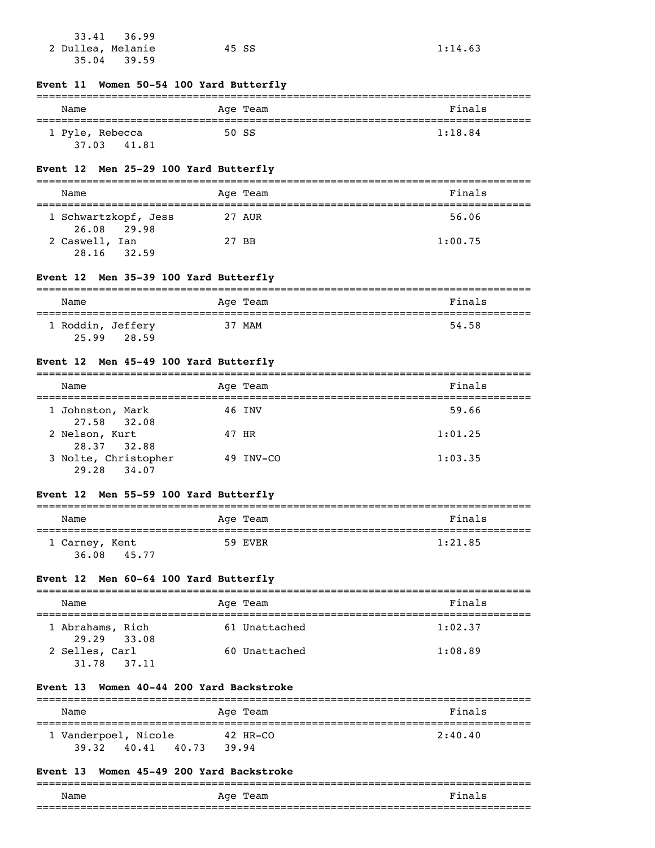| 33.41 36.99       |       |         |
|-------------------|-------|---------|
| 2 Dullea, Melanie | 45 SS | 1:14.63 |
| $35.04$ $39.59$   |       |         |

## **Event 11 Women 50-54 100 Yard Butterfly**

| Name                              | Age Team | Finals  |
|-----------------------------------|----------|---------|
| 1 Pyle, Rebecca<br>37.03<br>41.81 | 50 SS    | 1:18.84 |

## **Event 12 Men 25-29 100 Yard Butterfly**

| Name                                |       | Age Team | Finals  |
|-------------------------------------|-------|----------|---------|
| 1 Schwartzkopf, Jess<br>26.08 29.98 |       | 27 AUR   | 56.06   |
| 2 Caswell, Ian<br>28.16<br>32.59    | 27 BB |          | 1:00.75 |

## **Event 12 Men 35-39 100 Yard Butterfly**

| Name                       |       | Age Team | Finals |
|----------------------------|-------|----------|--------|
| 1 Roddin, Jeffery<br>25.99 | 28.59 | 37 MAM   | 54.58  |

# **Event 12 Men 45-49 100 Yard Butterfly**

| Name                                | Age Team  | Finals  |
|-------------------------------------|-----------|---------|
| 1 Johnston, Mark<br>27.58 32.08     | 46 INV    | 59.66   |
| 2 Nelson, Kurt<br>28.37 32.88       | 47 HR     | 1:01.25 |
| 3 Nolte, Christopher<br>29.28 34.07 | 49 INV-CO | 1:03.35 |

## **Event 12 Men 55-59 100 Yard Butterfly**

| Name                    |       | Age Team | Finals  |
|-------------------------|-------|----------|---------|
| 1 Carney, Kent<br>36.08 | 45.77 | 59 EVER  | 1:21.85 |

#### **Event 12 Men 60-64 100 Yard Butterfly**

| Name                            | Age Team      | Finals  |
|---------------------------------|---------------|---------|
| 1 Abrahams, Rich<br>29.29 33.08 | 61 Unattached | 1:02.37 |
| 2 Selles, Carl<br>31.78 37.11   | 60 Unattached | 1:08.89 |

#### **Event 13 Women 40-44 200 Yard Backstroke**

| Name                 |       |       |       | Age Team | Finals  |
|----------------------|-------|-------|-------|----------|---------|
|                      |       |       |       |          |         |
| 1 Vanderpoel, Nicole |       |       |       | 42 HR-CO | 2:40.40 |
| 39.32                | 40.41 | 40.73 | 39.94 |          |         |

#### **Event 13 Women 45-49 200 Yard Backstroke**

|      |             | ___   |
|------|-------------|-------|
| Name | Age<br>Team | ∽יהמי |
|      |             |       |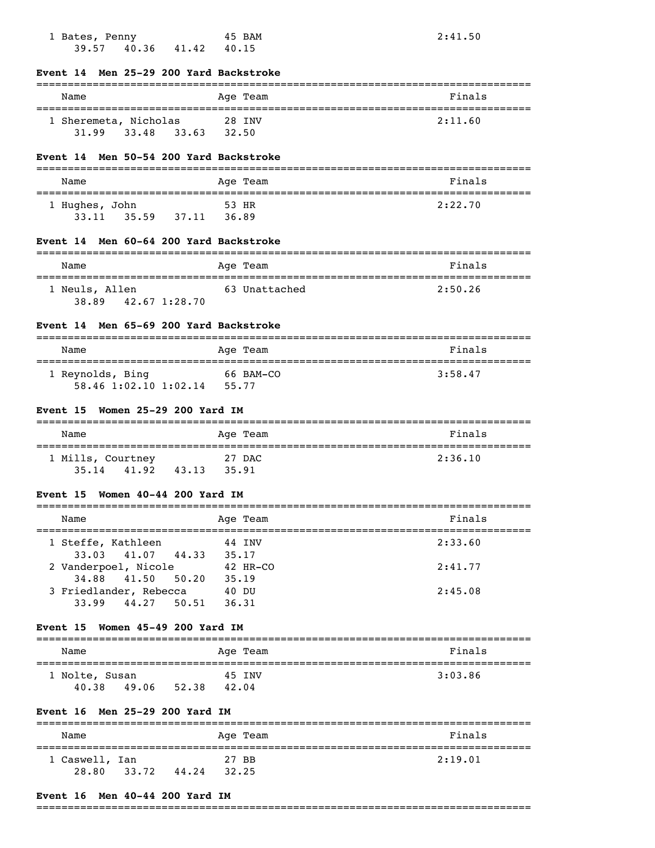| 1 Bates, Penny<br>$39.57$ $40.36$ $41.42$ $40.15$            | 45 BAM                    | 2:41.50                         |
|--------------------------------------------------------------|---------------------------|---------------------------------|
| Event 14 Men 25-29 200 Yard Backstroke                       |                           |                                 |
| Name                                                         | Age Team                  | Finals                          |
| 1 Sheremeta, Nicholas 28 INV                                 |                           | 2:11.60                         |
| 31.99 33.48 33.63 32.50                                      |                           |                                 |
| Event 14 Men 50-54 200 Yard Backstroke                       |                           |                                 |
| Name                                                         | Age Team                  | Finals                          |
| 1 Hughes, John                                               | 53 HR                     | 2:22.70                         |
| 33.11 35.59 37.11 36.89                                      |                           |                                 |
| Event 14 Men 60-64 200 Yard Backstroke                       |                           |                                 |
| Name                                                         | Age Team                  | Finals<br>===================== |
| 1 Neuls, Allen<br>38.89 42.67 1:28.70                        | 63 Unattached             | 2:50.26                         |
| Event 14 Men 65-69 200 Yard Backstroke                       |                           |                                 |
| Name                                                         | Age Team                  | Finals                          |
| 1 Reynolds, Bing 66 BAM-CO<br>58.46 1:02.10 1:02.14 55.77    |                           | 3:58.47                         |
| Event 15 Women 25-29 200 Yard IM                             |                           |                                 |
| Name                                                         | Age Team                  | Finals                          |
| 27 DAC<br>1 Mills, Courtney<br>35.14 41.92 43.13 35.91       |                           | 2:36.10                         |
| Event 15 Women 40-44 200 Yard IM                             |                           |                                 |
| Name                                                         | Age Team                  | Finals                          |
| ======================================<br>1 Steffe, Kathleen | ===============<br>44 INV | ======<br>---------<br>2:33.60  |
| 44.33<br>33.03<br>41.07<br>2 Vanderpoel, Nicole              | 35.17<br>42 HR-CO         | 2:41.77                         |
| 41.50<br>50.20<br>34.88<br>3 Friedlander, Rebecca            | 35.19<br>40 DU            | 2:45.08                         |
| 33.99<br>44.27<br>50.51                                      | 36.31                     |                                 |
| Women 45-49 200 Yard IM<br>Event 15                          |                           |                                 |
| Name                                                         | Age Team                  | Finals                          |

| wallle         |             | Aye ream | r inais |
|----------------|-------------|----------|---------|
|                |             |          |         |
| 1 Nolte, Susan |             | 45 INV   | 3:03.86 |
| 40.38          | 49.06 52.38 | 42.04    |         |

## **Event 16 Men 25-29 200 Yard IM**

| Name                    |       |       | Age Team       | Finals  |
|-------------------------|-------|-------|----------------|---------|
| 1 Caswell, Ian<br>28.80 | 33.72 | 44.24 | 27 BB<br>32.25 | 2:19.01 |

## **Event 16 Men 40-44 200 Yard IM**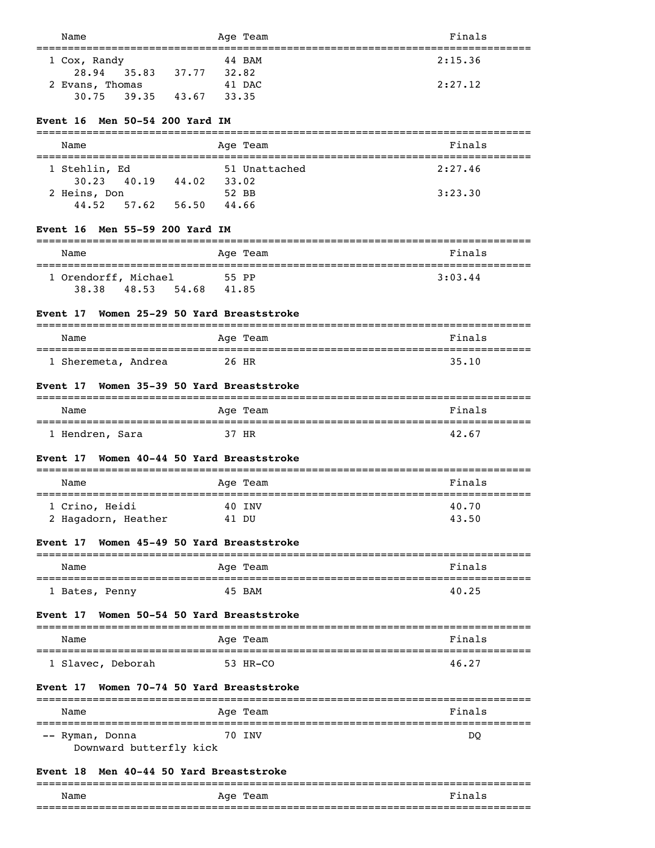| Name                                                             | Age Team                                                      | Finals             |
|------------------------------------------------------------------|---------------------------------------------------------------|--------------------|
| 1 Cox, Randy<br>35.83 37.77 32.82<br>28.94                       | 44 BAM                                                        | 2:15.36            |
| 2 Evans, Thomas                                                  | 41 DAC                                                        | 2:27.12            |
| 30.75<br>39.35<br>43.67                                          | 33.35                                                         |                    |
| Men 50-54 200 Yard IM<br>Event 16                                |                                                               |                    |
| Name                                                             | Age Team                                                      | Finals             |
| 1 Stehlin, Ed<br>30.23 40.19 44.02                               | 51 Unattached<br>33.02                                        | 2:27.46            |
| 2 Heins, Don                                                     | 52 BB                                                         | 3:23.30            |
| $57.62$ $56.50$<br>44.52                                         | 44.66                                                         |                    |
| Event 16 Men 55-59 200 Yard IM                                   |                                                               |                    |
| Name                                                             | ----------<br>Age Team                                        | Finals             |
| 1 Orendorff, Michael                                             | 55 PP                                                         | 3:03.44            |
| 48.53 54.68<br>38.38                                             | 41.85                                                         |                    |
| Women 25-29 50 Yard Breaststroke<br>Event 17                     |                                                               |                    |
| Name                                                             | Age Team                                                      | Finals             |
| 1 Sheremeta, Andrea                                              | 26 HR                                                         | 35.10              |
| Women 35-39 50 Yard Breaststroke<br><b>Event</b> 17              |                                                               |                    |
| Name                                                             | Age Team                                                      | Finals             |
| 1 Hendren, Sara                                                  | 37 HR                                                         | 42.67              |
| Women 40-44 50 Yard Breaststroke<br>Event 17<br>---------------- | =============                                                 |                    |
| Name                                                             | Age Team<br>============                                      | Finals             |
| 1 Crino, Heidi                                                   | 40 INV                                                        | 40.70              |
| 2 Hagadorn, Heather                                              | 41 DU                                                         | 43.50              |
| Women 45-49 50 Yard Breaststroke<br><b>Event 17</b>              |                                                               |                    |
| Name                                                             | ==============================<br>Age Team<br>--------------- | Finals             |
| -------------------<br>1 Bates, Penny                            | 45 BAM                                                        | 40.25              |
| Women 50-54 50 Yard Breaststroke<br>Event 17                     |                                                               |                    |
| Name                                                             | Age Team                                                      | Finals             |
| 1 Slavec, Deborah                                                | 53 HR-CO                                                      | 46.27              |
| Women 70-74 50 Yard Breaststroke                                 | ===================================                           |                    |
| Name                                                             | Age Team                                                      | Finals<br>-------- |
| -- Ryman, Donna<br>Downward butterfly kick                       | 70 INV                                                        | DQ                 |
| Men 40-44 50 Yard Breaststroke                                   |                                                               |                    |
| <b>Event 17</b><br>======================<br>Event 18            |                                                               |                    |

| Name                   | Team<br>Aqe | Finall |
|------------------------|-------------|--------|
| ______________________ |             |        |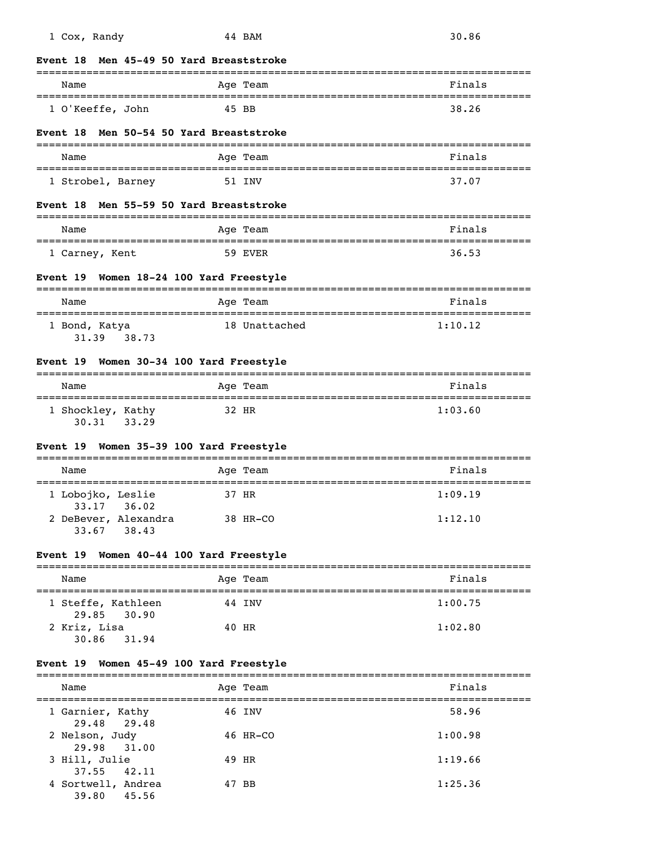| <b>Event</b> 18                                       | Men 45-49 50 Yard Breaststroke |         |
|-------------------------------------------------------|--------------------------------|---------|
| Name                                                  | Age Team                       | Finals  |
| 1 O'Keeffe, John                                      | 45 BB                          | 38.26   |
| Men 50-54 50 Yard Breaststroke<br><b>Event</b> 18     |                                |         |
| Name                                                  | Age Team                       | Finals  |
| 1 Strobel, Barney                                     | 51 INV                         | 37.07   |
| Men 55-59 50 Yard Breaststroke<br><b>Event</b> 18     |                                |         |
| Name                                                  | Age Team                       | Finals  |
| 1 Carney, Kent                                        | 59 EVER                        | 36.53   |
| Event 19 Women 18-24 100 Yard Freestyle               |                                |         |
| Name                                                  | Age Team                       | Finals  |
| 1 Bond, Katya<br>31.39 38.73                          | 18 Unattached                  | 1:10.12 |
|                                                       |                                |         |
| Event 19 Women 30-34 100 Yard Freestyle               |                                |         |
| Name                                                  | Age Team                       | Finals  |
| 1 Shockley, Kathy<br>30.31 33.29                      | 32 HR                          | 1:03.60 |
| Event 19 Women 35-39 100 Yard Freestyle               |                                |         |
| Name                                                  | ----------<br>Age Team         | Finals  |
| 1 Lobojko, Leslie                                     | 37 HR                          | 1:09.19 |
| 33.17 36.02<br>2 DeBever, Alexandra<br>33.67<br>38.43 | 38 HR-CO                       | 1:12.10 |
| Event 19 Women 40-44 100 Yard Freestyle               |                                |         |
| Name                                                  | Age Team                       | Finals  |
| 1 Steffe, Kathleen                                    | 44 INV                         | 1:00.75 |
| 29.85 30.90<br>2 Kriz, Lisa<br>30.86 31.94            | 40 HR                          | 1:02.80 |
| Event 19 Women 45-49 100 Yard Freestyle               |                                |         |
| Name                                                  | Age Team                       | Finals  |
| 1 Garnier, Kathy                                      | 46 INV                         | 58.96   |
| 29.48<br>29.48<br>2 Nelson, Judy                      | 46 HR-CO                       | 1:00.98 |
| 31.00<br>29.98<br>3 Hill, Julie                       | 49 HR                          | 1:19.66 |
| 37.55<br>42.11<br>4 Sortwell, Andrea<br>39.80 45.56   | 47 BB                          | 1:25.36 |

1 Cox, Randy 44 BAM 30.86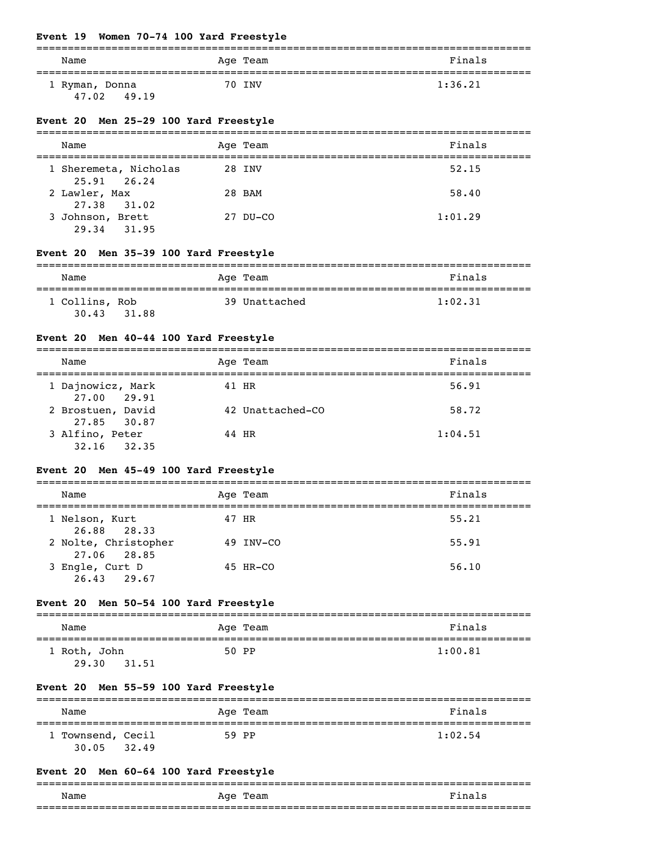# **Event 19 Women 70-74 100 Yard Freestyle**

| Name           | Age Team | Finals  |
|----------------|----------|---------|
| 1 Ryman, Donna | 70 INV   | 1:36.21 |
| 47.02<br>49.19 |          |         |

## **Event 20 Men 25-29 100 Yard Freestyle**

| Name                                 | Age Team | Finals  |
|--------------------------------------|----------|---------|
| 1 Sheremeta, Nicholas<br>25.91 26.24 | 28 INV   | 52.15   |
| 2 Lawler, Max<br>27.38 31.02         | 28 BAM   | 58.40   |
| 3 Johnson, Brett<br>29.34<br>31.95   | 27 DU-CO | 1:01.29 |

# **Event 20 Men 35-39 100 Yard Freestyle**

| Name                    |       | Age Team      | Finals  |
|-------------------------|-------|---------------|---------|
| 1 Collins, Rob<br>30.43 | 31.88 | 39 Unattached | 1:02.31 |

## **Event 20 Men 40-44 100 Yard Freestyle**

| Name                              | Age Team         | Finals  |
|-----------------------------------|------------------|---------|
| 1 Dajnowicz, Mark<br>27.00 29.91  | 41 HR            | 56.91   |
| 2 Brostuen, David<br>27.85 30.87  | 42 Unattached-CO | 58.72   |
| 3 Alfino, Peter<br>32.35<br>32.16 | 44 HR            | 1:04.51 |

## **Event 20 Men 45-49 100 Yard Freestyle**

| Name                                | Age Team  | Finals |
|-------------------------------------|-----------|--------|
| 1 Nelson, Kurt<br>26.88 28.33       | 47 HR     | 55.21  |
| 2 Nolte, Christopher<br>27.06 28.85 | 49 INV-CO | 55.91  |
| 3 Engle, Curt D<br>26.43<br>29.67   | 45 HR-CO  | 56.10  |

## **Event 20 Men 50-54 100 Yard Freestyle**

| Name                           | Age Team | Finals  |
|--------------------------------|----------|---------|
|                                |          |         |
| 1 Roth, John<br>29.30<br>31.51 | 50 PP    | 1:00.81 |

## **Event 20 Men 55-59 100 Yard Freestyle**

| Name                       |       | Age Team | Finals  |
|----------------------------|-------|----------|---------|
| 1 Townsend, Cecil<br>30.05 | 32.49 | 59 PP    | 1:02.54 |

## **Event 20 Men 60-64 100 Yard Freestyle**

|      |             | ___   |
|------|-------------|-------|
| Name | Age<br>Team | הורי⊺ |
|      |             |       |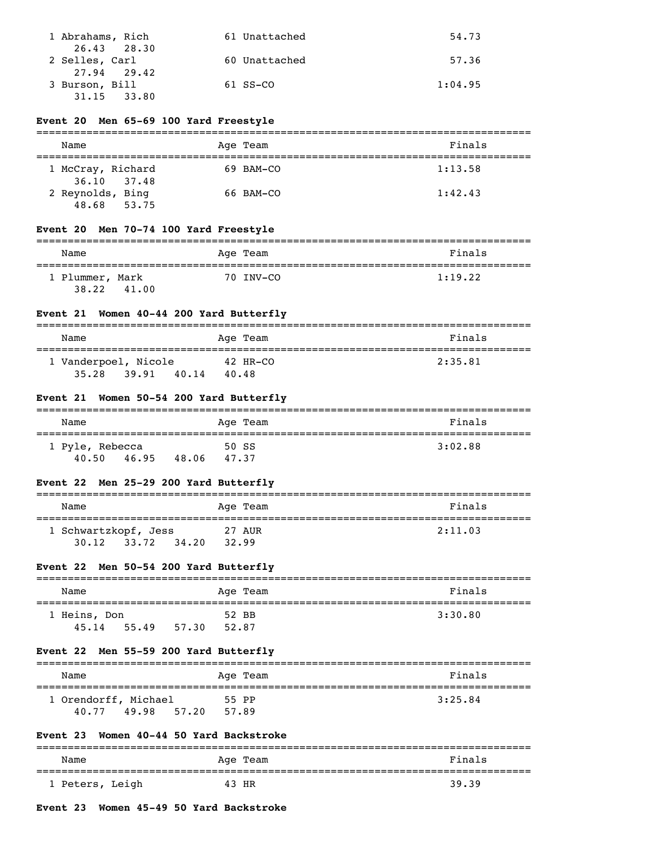| 1 Abrahams, Rich | 61 Unattached | 54.73   |
|------------------|---------------|---------|
| 26.43 28.30      |               |         |
| 2 Selles, Carl   | 60 Unattached | 57.36   |
| 27.94 29.42      |               |         |
| 3 Burson, Bill   | $61$ SS-CO    | 1:04.95 |
| 31.15<br>33.80   |               |         |

## **Event 20 Men 65-69 100 Yard Freestyle**

| Name                               | Age Team  | Finals  |
|------------------------------------|-----------|---------|
| 1 McCray, Richard<br>36.10 37.48   | 69 BAM-CO | 1:13.58 |
| 2 Reynolds, Bing<br>48.68<br>53.75 | 66 BAM-CO | 1:42.43 |

## **Event 20 Men 70-74 100 Yard Freestyle**

| Name            |       | Age Team  | Finals  |
|-----------------|-------|-----------|---------|
| 1 Plummer, Mark |       | 70 INV-CO | 1:19.22 |
| 38.22           | 41.00 |           |         |

# **Event 21 Women 40-44 200 Yard Butterfly**

| Name                 |       |       | Age Team | Finals  |
|----------------------|-------|-------|----------|---------|
| 1 Vanderpoel, Nicole |       |       | 42 HR-CO | 2:35.81 |
| 35.28                | 39.91 | 40.14 | 40.48    |         |

#### **Event 21 Women 50-54 200 Yard Butterfly**

| Name            | Age Team       | Finals  |
|-----------------|----------------|---------|
| 1 Pyle, Rebecca | 50 SS          | 3:02.88 |
| 40.50<br>46.95  | 48.06<br>47.37 |         |

## **Event 22 Men 25-29 200 Yard Butterfly**

| Name                          |       |       | Age Team        | Finals  |
|-------------------------------|-------|-------|-----------------|---------|
| 1 Schwartzkopf, Jess<br>30.12 | 33.72 | 34.20 | 27 AUR<br>32.99 | 2:11.03 |

## **Event 22 Men 50-54 200 Yard Butterfly**

| Name         |       |       | Age Team | Finals  |
|--------------|-------|-------|----------|---------|
| 1 Heins, Don |       |       | 52 BB    | 3:30.80 |
| 45.14        | 55.49 | 57.30 | 52.87    |         |

## **Event 22 Men 55-59 200 Yard Butterfly**

| Name                                   | Age Team                | Finals  |
|----------------------------------------|-------------------------|---------|
| 1 Orendorff, Michael<br>40.77<br>49.98 | 55 PP<br>57.20<br>57.89 | 3:25.84 |

#### **Event 23 Women 40-44 50 Yard Backstroke**

| Name            |       | Age Team | Finals |
|-----------------|-------|----------|--------|
| 1 Peters, Leigh | 43 HR |          | 39.39  |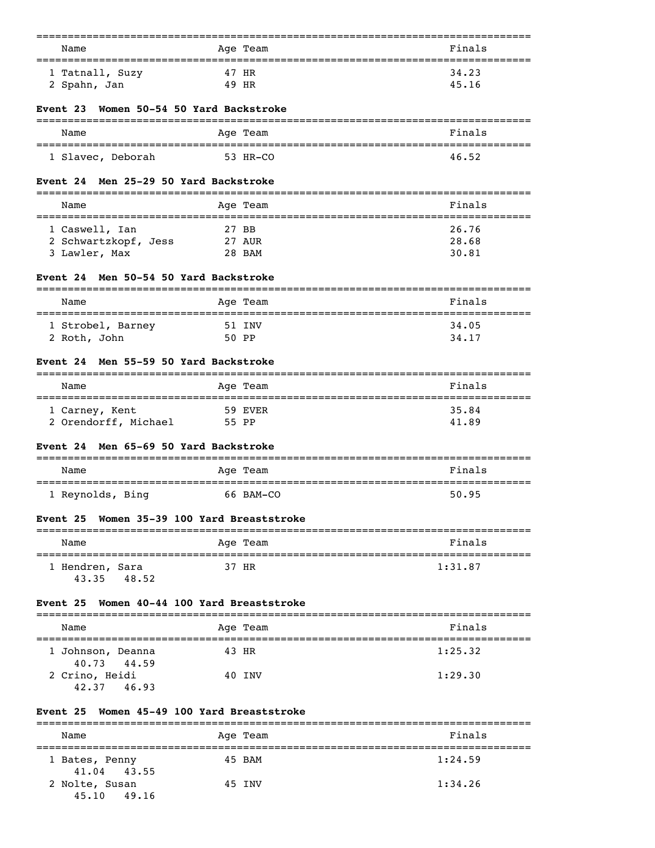| Name                                      | Age Team<br>______                          | Finals<br>========                    |
|-------------------------------------------|---------------------------------------------|---------------------------------------|
| 1 Tatnall, Suzy                           | 47 HR                                       | 34.23                                 |
| 2 Spahn, Jan                              | 49 HR                                       | 45.16                                 |
| Event 23                                  | Women 50-54 50 Yard Backstroke              |                                       |
| Name                                      | Age Team                                    | Finals                                |
| 1 Slavec, Deborah                         | 53 HR-CO                                    | 46.52                                 |
| <b>Event 24</b>                           | Men 25-29 50 Yard Backstroke                |                                       |
| Name                                      | Age Team                                    | Finals                                |
| 1 Caswell, Ian                            | 27 BB                                       | 26.76                                 |
| 2 Schwartzkopf, Jess                      | 27 AUR                                      | 28.68                                 |
| 3 Lawler, Max                             | 28 BAM                                      | 30.81                                 |
| Event 24                                  | Men 50-54 50 Yard Backstroke                |                                       |
| Name                                      | Age Team                                    | Finals                                |
| 1 Strobel, Barney                         | 51 INV                                      | 34.05                                 |
| 2 Roth, John                              | 50 PP                                       | 34.17                                 |
| Event 24                                  | Men 55-59 50 Yard Backstroke                |                                       |
| Name                                      | Age Team                                    | Finals<br>=========================== |
| 1 Carney, Kent                            | 59 EVER                                     | 35.84                                 |
| 2 Orendorff, Michael                      | 55 PP                                       | 41.89                                 |
| Event 24<br>---------------------         | Men 65-69 50 Yard Backstroke<br>=========== |                                       |
| Name                                      | Age Team                                    | Finals                                |
| 1 Reynolds, Bing                          | 66 BAM-CO                                   | 50.95                                 |
| Event 25                                  | Women 35-39 100 Yard Breaststroke           |                                       |
| Name                                      | .<br>Age Team                               | Finals                                |
| ======================<br>1 Hendren, Sara | 37 HR                                       | 1:31.87                               |
| 48.52<br>43.35                            |                                             |                                       |
| Event 25                                  | Women 40-44 100 Yard Breaststroke           | ----------                            |
| Name                                      | Age Team                                    | Finals                                |
| 1 Johnson, Deanna                         | 43 HR                                       | 1:25.32                               |
| 40.73<br>44.59<br>2 Crino, Heidi          | 40 INV                                      | 1:29.30                               |
| 46.93<br>42.37                            |                                             |                                       |
| Event 25                                  | Women 45-49 100 Yard Breaststroke           |                                       |
| ================<br>Name                  | Age Team                                    | Finals                                |
| ====================<br>1 Bates, Penny    | 45 BAM                                      | =========<br>1:24.59                  |

2 Nolte, Susan 45 INV 1:34.26

41.04 43.55

45.10 49.16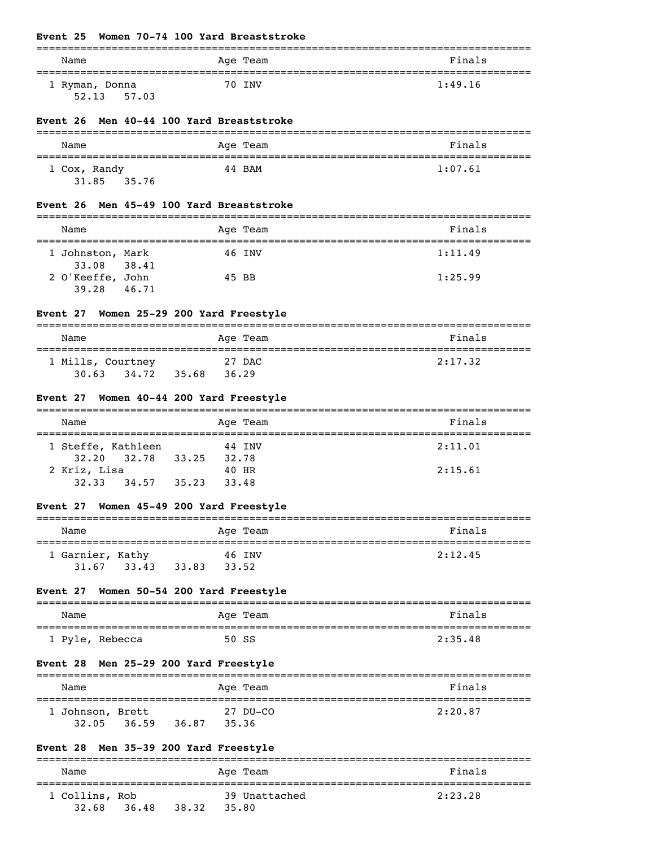## **Event 25 Women 70-74 100 Yard Breaststroke**

| Name           | Age Team | Finals  |
|----------------|----------|---------|
| 1 Ryman, Donna | 70 INV   | 1:49.16 |
| 57.03<br>52.13 |          |         |

#### **Event 26 Men 40-44 100 Yard Breaststroke**

| Name                           | Age Team | Finals  |
|--------------------------------|----------|---------|
| 1 Cox, Randy<br>31.85<br>35.76 | 44 BAM   | 1:07.61 |

#### **Event 26 Men 45-49 100 Yard Breaststroke**

| Name                            |       | Age Team | Finals  |
|---------------------------------|-------|----------|---------|
| 1 Johnston, Mark<br>33.08 38.41 |       | 46 INV   | 1:11.49 |
| 2 O'Keeffe, John<br>39.28       | 46.71 | 45 BB    | 1:25.99 |

## **Event 27 Women 25-29 200 Yard Freestyle**

| Name                                |       | Age Team        | Finals  |
|-------------------------------------|-------|-----------------|---------|
| 1 Mills, Courtney<br>30.63<br>34.72 | 35.68 | 27 DAC<br>36.29 | 2:17.32 |

#### **Event 27 Women 40-44 200 Yard Freestyle**

| Name               |       |       | Age Team | Finals  |
|--------------------|-------|-------|----------|---------|
|                    |       |       |          |         |
| 1 Steffe, Kathleen |       |       | 44 INV   | 2:11.01 |
| 32.20 32.78        | 33.25 | 32.78 |          |         |
| 2 Kriz, Lisa       |       |       | 40 HR    | 2:15.61 |
| 32.33<br>34.57     | 35.23 | 33.48 |          |         |

## **Event 27 Women 45-49 200 Yard Freestyle**

| Name             |       |       | Age Team | Finals  |
|------------------|-------|-------|----------|---------|
| 1 Garnier, Kathy |       |       | 46 INV   | 2:12.45 |
| 31.67            | 33.43 | 33.83 | 33.52    |         |

## **Event 27 Women 50-54 200 Yard Freestyle**

| Name            | Age Team | Finals  |
|-----------------|----------|---------|
|                 |          |         |
| 1 Pyle, Rebecca | 50 SS    | 2:35.48 |

#### **Event 28 Men 25-29 200 Yard Freestyle**

| Name                      |       |       | Age Team          | Finals  |
|---------------------------|-------|-------|-------------------|---------|
| 1 Johnson, Brett<br>32.05 | 36.59 | 36.87 | 27 DU-CO<br>35.36 | 2:20.87 |

## **Event 28 Men 35-39 200 Yard Freestyle**

| Name                    |       |       | Age Team               | Finals  |
|-------------------------|-------|-------|------------------------|---------|
| 1 Collins, Rob<br>32.68 | 36.48 | 38.32 | 39 Unattached<br>35.80 | 2:23.28 |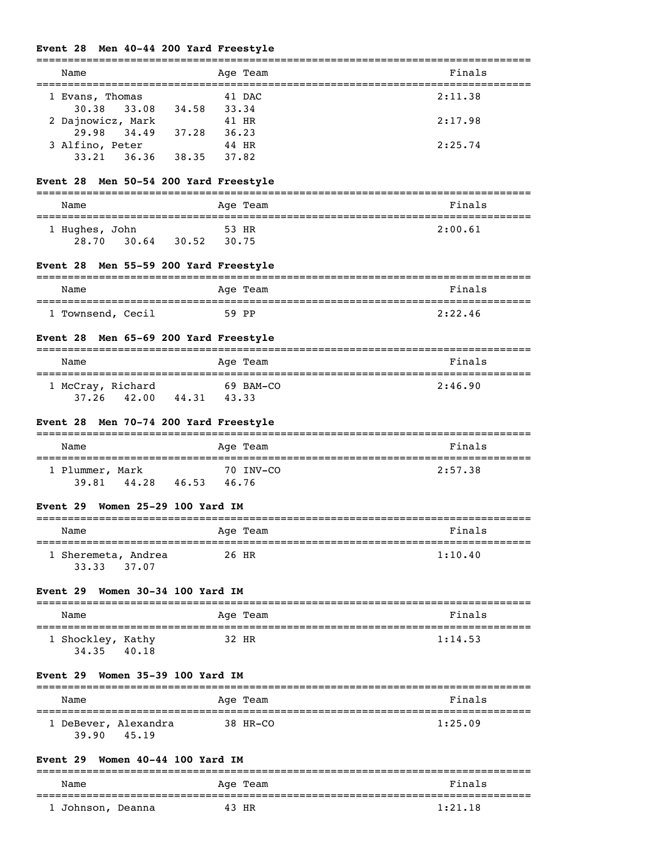# **Event 28 Men 40-44 200 Yard Freestyle**

| Name                                                     | Age Team                          | Finals  |
|----------------------------------------------------------|-----------------------------------|---------|
| 1 Evans, Thomas                                          | 41 DAC                            | 2:11.38 |
| 33.08 34.58 33.34<br>30.38                               |                                   |         |
| 2 Dajnowicz, Mark                                        | 41 HR                             | 2:17.98 |
| 29.98 34.49 37.28 36.23                                  |                                   |         |
| 3 Alfino, Peter 44 HR<br>33.21 36.36 38.35 37.82         | 44 HR                             | 2:25.74 |
|                                                          |                                   |         |
| Event 28 Men 50-54 200 Yard Freestyle                    |                                   |         |
| Name                                                     | Age Team                          | Finals  |
| 1 Hughes, John                                           | 53 HR                             | 2:00.61 |
| 28.70 30.64 30.52 30.75                                  |                                   |         |
| Event 28 Men 55-59 200 Yard Freestyle<br>=============== |                                   |         |
| Name                                                     | Age Team                          | Finals  |
| 1 Townsend, Cecil                                        |                                   | 2:22.46 |
| Event 28 Men 65-69 200 Yard Freestyle                    |                                   |         |
| Name                                                     | Age Team                          | Finals  |
| 1 McCray, Richard 69 BAM-CO                              |                                   | 2:46.90 |
| 37.26 42.00 44.31 43.33                                  |                                   |         |
| Event 28 Men 70-74 200 Yard Freestyle                    |                                   |         |
| Name                                                     | Age Team                          | Finals  |
| 1 Plummer, Mark                                          | 70 INV-CO                         | 2:57.38 |
| 39.81 44.28 46.53 46.76                                  |                                   |         |
| Women 25-29 100 Yard IM<br><b>Event 29</b>               |                                   |         |
| Name                                                     | Age Team                          | Finals  |
| 1 Sheremeta, Andrea<br>37.07<br>33.33                    | 26 HR                             | 1:10.40 |
| Event 29<br>Women 30-34 100 Yard IM                      |                                   |         |
| Name<br>------------------                               | Aqe Team                          | Finals  |
| 1 Shockley, Kathy<br>34.35 40.18                         | 32 HR                             | 1:14.53 |
| Women 35-39 100 Yard IM<br>Event 29                      |                                   |         |
| Name                                                     | Age Team                          | Finals  |
| 1 DeBever, Alexandra<br>45.19<br>39.90                   | 38 HR-CO                          | 1:25.09 |
| Women 40-44 100 Yard IM<br>Event 29                      |                                   |         |
| ==========<br>Name                                       | =====================<br>Aqe Team | Finals  |
|                                                          |                                   |         |

1 Johnson, Deanna 43 HR 1:21.18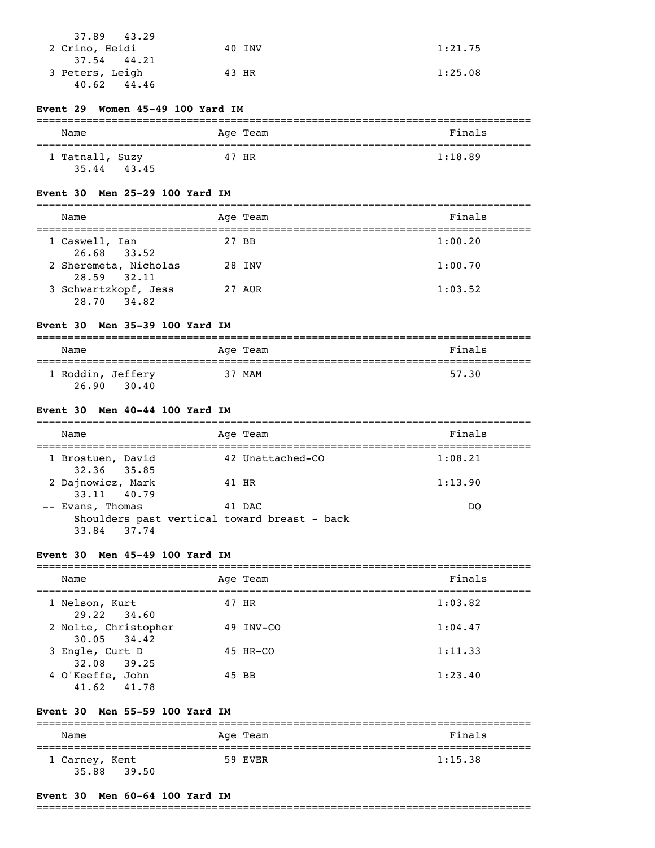| 37.89 43.29<br>2 Crino, Heidi  | 40 INV | 1:21.75 |
|--------------------------------|--------|---------|
| 37.54 44.21<br>3 Peters, Leigh | 43 HR  | 1:25.08 |
| 44.46<br>40.62                 |        |         |

#### **Event 29 Women 45-49 100 Yard IM**

| Name                     |       | Age Team | Finals  |
|--------------------------|-------|----------|---------|
| 1 Tatnall, Suzy<br>35.44 | 43.45 | 47 HR    | 1:18.89 |

#### **Event 30 Men 25-29 100 Yard IM**

| Name                                   | Age Team | Finals  |
|----------------------------------------|----------|---------|
| 1 Caswell, Ian<br>26.68 33.52          | 27 BB    | 1:00.20 |
| 2 Sheremeta, Nicholas<br>28.59 32.11   | 28 INV   | 1:00.70 |
| 3 Schwartzkopf, Jess<br>28.70<br>34.82 | 27 AUR   | 1:03.52 |

#### **Event 30 Men 35-39 100 Yard IM**

| Name                       |       |  | Age Team | Finals |
|----------------------------|-------|--|----------|--------|
| 1 Roddin, Jeffery<br>26.90 | 30.40 |  | 37 MAM   | 57.30  |

#### **Event 30 Men 40-44 100 Yard IM**

| Age Team<br>Name                                                                          | Finals  |
|-------------------------------------------------------------------------------------------|---------|
| 42 Unattached-CO<br>1 Brostuen, David<br>32.36 35.85                                      | 1:08.21 |
| 2 Dajnowicz, Mark<br>41 HR<br>33.11 40.79                                                 | 1:13.90 |
| -- Evans, Thomas<br>41 DAC<br>Shoulders past vertical toward breast - back<br>33.84 37.74 | DO.     |

#### **Event 30 Men 45-49 100 Yard IM**

| Name                                    | Age Team  | Finals  |
|-----------------------------------------|-----------|---------|
| 1 Nelson, Kurt<br>$29.22$ $34.60$       | 47 HR     | 1:03.82 |
| 2 Nolte, Christopher<br>$30.05$ $34.42$ | 49 INV-CO | 1:04.47 |
| 3 Engle, Curt D<br>32.08 39.25          | 45 HR-CO  | 1:11.33 |
| 4 O'Keeffe, John<br>41.62 41.78         | 45 BB     | 1:23.40 |

#### **Event 30 Men 55-59 100 Yard IM**

| Name                    |       | Age Team | Finals  |
|-------------------------|-------|----------|---------|
| 1 Carney, Kent<br>35.88 | 39.50 | 59 EVER  | 1:15.38 |

#### **Event 30 Men 60-64 100 Yard IM**